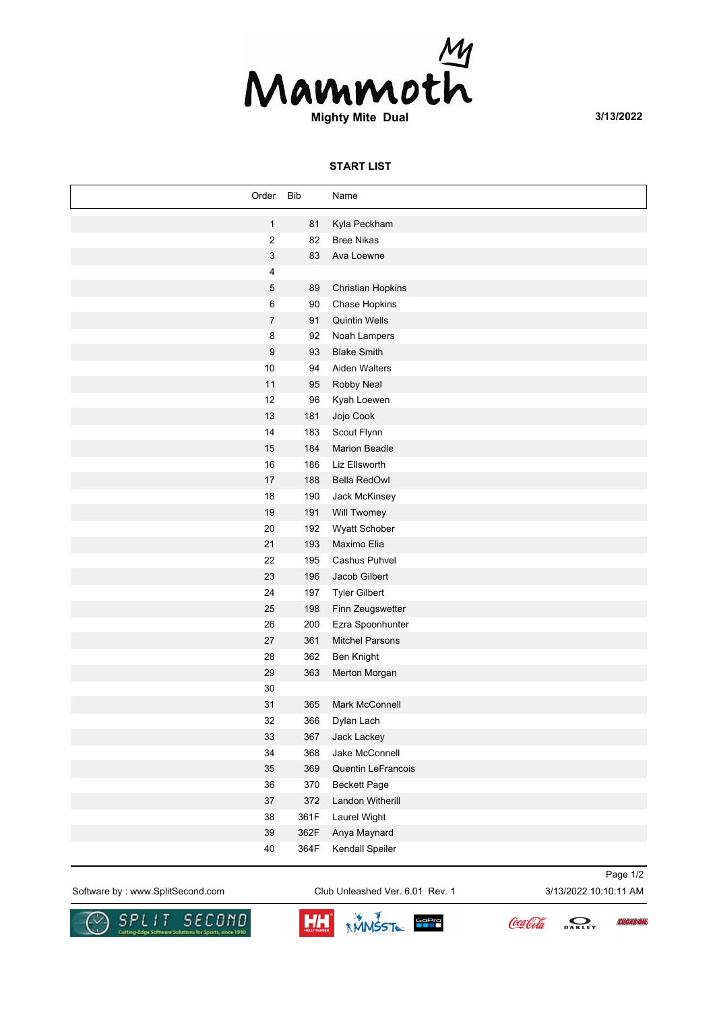

## **START LIST**

| Order                     | <b>Bib</b> | Name                     |
|---------------------------|------------|--------------------------|
| $\mathbf{1}$              | 81         | Kyla Peckham             |
| $\sqrt{2}$                | 82         | <b>Bree Nikas</b>        |
| $\ensuremath{\mathsf{3}}$ | 83         | Ava Loewne               |
| 4                         |            |                          |
| $\mathbf 5$               | 89         | <b>Christian Hopkins</b> |
| 6                         | 90         | Chase Hopkins            |
| $\boldsymbol{7}$          | 91         | <b>Quintin Wells</b>     |
| 8                         | 92         | Noah Lampers             |
| 9                         | 93         | <b>Blake Smith</b>       |
| $10$                      | 94         | Aiden Walters            |
| 11                        | 95         | Robby Neal               |
| 12                        | 96         | Kyah Loewen              |
| 13                        | 181        | Jojo Cook                |
| 14                        | 183        | Scout Flynn              |
| 15                        | 184        | <b>Marion Beadle</b>     |
| 16                        | 186        | <b>Liz Ellsworth</b>     |
| 17                        | 188        | <b>Bella RedOwl</b>      |
| 18                        | 190        | Jack McKinsey            |
| 19                        | 191        | Will Twomey              |
| 20                        | 192        | Wyatt Schober            |
| 21                        | 193        | Maximo Elia              |
| 22                        | 195        | Cashus Puhvel            |
| 23                        | 196        | Jacob Gilbert            |
| 24                        | 197        | <b>Tyler Gilbert</b>     |
| 25                        | 198        | Finn Zeugswetter         |
| 26                        | 200        | Ezra Spoonhunter         |
| 27                        | 361        | <b>Mitchel Parsons</b>   |
| 28                        | 362        | Ben Knight               |
| 29                        | 363        | Merton Morgan            |
| 30                        |            |                          |
| 31                        | 365        | Mark McConnell           |
| 32                        | 366        | Dylan Lach               |
| 33                        | 367        | Jack Lackey              |
| 34                        | 368        | Jake McConnell           |
| 35                        | 369        | Quentin LeFrancois       |
| $36\,$                    | 370        | <b>Beckett Page</b>      |
| $37\,$                    | 372        | Landon Witherill         |
| 38                        | 361F       | Laurel Wight             |
| $39\,$                    | 362F       | Anya Maynard             |
| $40\,$                    | 364F       | Kendall Speiler          |

Software by : www.SplitSecond.com Club Unleashed Ver. 6.01 Rev. 1 3/13/2022 10:10:11 AM

Page 1/2